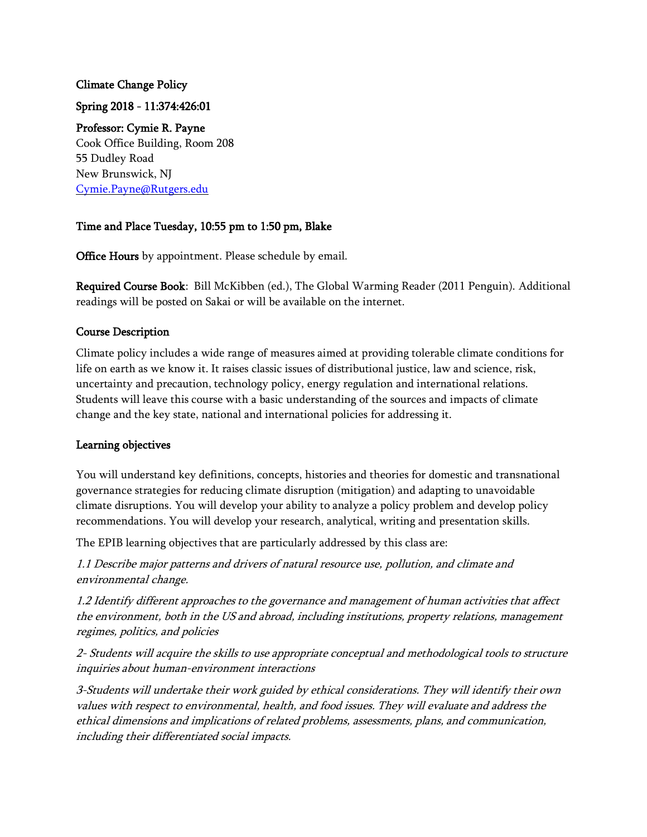## Climate Change Policy

## Spring 2018 - 11:374:426:01

## Professor: Cymie R. Payne

Cook Office Building, Room 208 55 Dudley Road New Brunswick, NJ [Cymie.Payne@Rutgers.edu](mailto:Cymie.Payne@Rutgers.edu)

## Time and Place Tuesday, 10:55 pm to 1:50 pm, Blake

Office Hours by appointment. Please schedule by email.

Required Course Book: Bill McKibben (ed.), The Global Warming Reader (2011 Penguin). Additional readings will be posted on Sakai or will be available on the internet.

## Course Description

Climate policy includes a wide range of measures aimed at providing tolerable climate conditions for life on earth as we know it. It raises classic issues of distributional justice, law and science, risk, uncertainty and precaution, technology policy, energy regulation and international relations. Students will leave this course with a basic understanding of the sources and impacts of climate change and the key state, national and international policies for addressing it.

## Learning objectives

You will understand key definitions, concepts, histories and theories for domestic and transnational governance strategies for reducing climate disruption (mitigation) and adapting to unavoidable climate disruptions. You will develop your ability to analyze a policy problem and develop policy recommendations. You will develop your research, analytical, writing and presentation skills.

The EPIB learning objectives that are particularly addressed by this class are:

1.1 Describe major patterns and drivers of natural resource use, pollution, and climate and environmental change.

1.2 Identify different approaches to the governance and management of human activities that affect the environment, both in the US and abroad, including institutions, property relations, management regimes, politics, and policies

2- Students will acquire the skills to use appropriate conceptual and methodological tools to structure inquiries about human-environment interactions

3-Students will undertake their work guided by ethical considerations. They will identify their own values with respect to environmental, health, and food issues. They will evaluate and address the ethical dimensions and implications of related problems, assessments, plans, and communication, including their differentiated social impacts.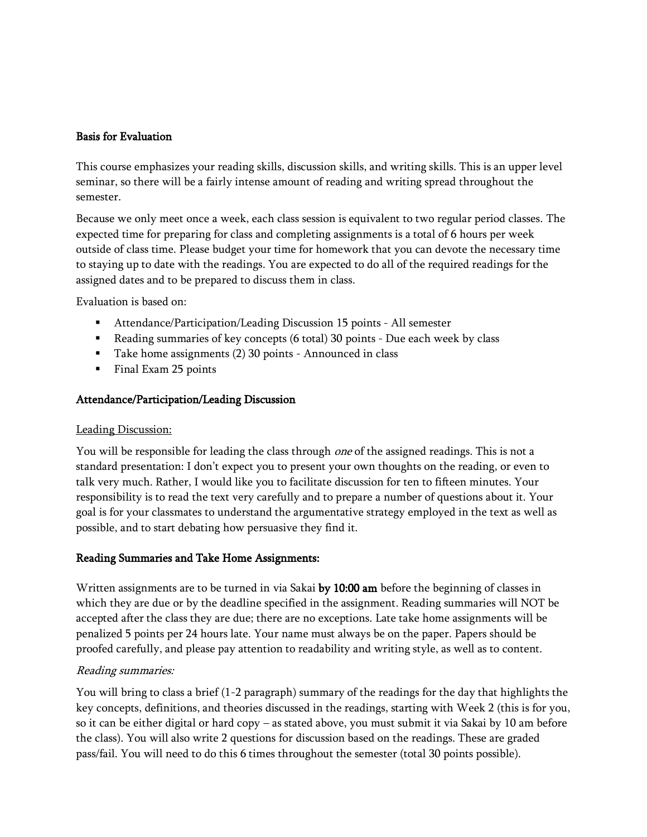## Basis for Evaluation

This course emphasizes your reading skills, discussion skills, and writing skills. This is an upper level seminar, so there will be a fairly intense amount of reading and writing spread throughout the semester.

Because we only meet once a week, each class session is equivalent to two regular period classes. The expected time for preparing for class and completing assignments is a total of 6 hours per week outside of class time. Please budget your time for homework that you can devote the necessary time to staying up to date with the readings. You are expected to do all of the required readings for the assigned dates and to be prepared to discuss them in class.

Evaluation is based on:

- Attendance/Participation/Leading Discussion 15 points All semester
- Reading summaries of key concepts (6 total) 30 points Due each week by class
- Take home assignments (2) 30 points Announced in class
- Final Exam 25 points

## Attendance/Participation/Leading Discussion

## Leading Discussion:

You will be responsible for leading the class through *one* of the assigned readings. This is not a standard presentation: I don't expect you to present your own thoughts on the reading, or even to talk very much. Rather, I would like you to facilitate discussion for ten to fifteen minutes. Your responsibility is to read the text very carefully and to prepare a number of questions about it. Your goal is for your classmates to understand the argumentative strategy employed in the text as well as possible, and to start debating how persuasive they find it.

## Reading Summaries and Take Home Assignments:

Written assignments are to be turned in via Sakai by 10:00 am before the beginning of classes in which they are due or by the deadline specified in the assignment. Reading summaries will NOT be accepted after the class they are due; there are no exceptions. Late take home assignments will be penalized 5 points per 24 hours late. Your name must always be on the paper. Papers should be proofed carefully, and please pay attention to readability and writing style, as well as to content.

## Reading summaries:

You will bring to class a brief (1-2 paragraph) summary of the readings for the day that highlights the key concepts, definitions, and theories discussed in the readings, starting with Week 2 (this is for you, so it can be either digital or hard copy – as stated above, you must submit it via Sakai by 10 am before the class). You will also write 2 questions for discussion based on the readings. These are graded pass/fail. You will need to do this 6 times throughout the semester (total 30 points possible).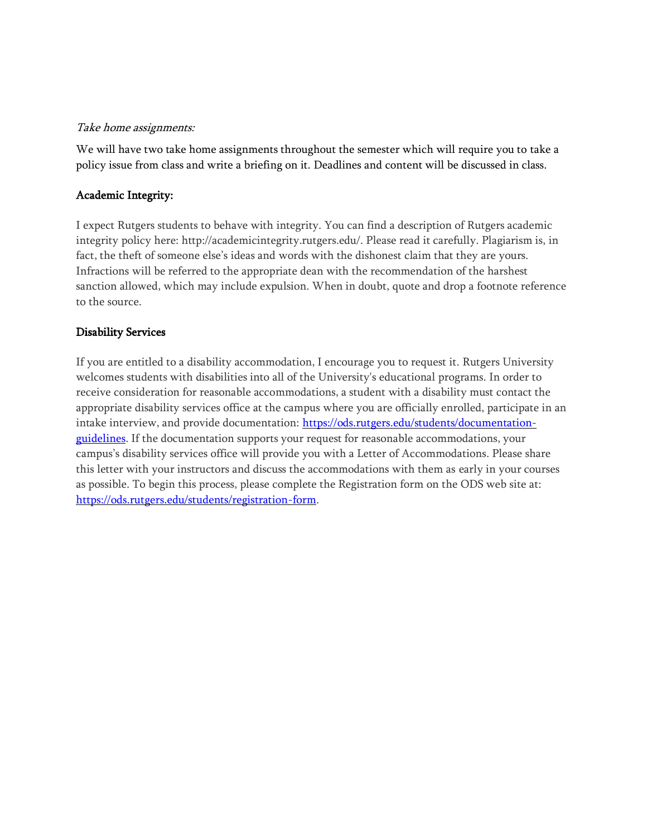## Take home assignments:

We will have two take home assignments throughout the semester which will require you to take a policy issue from class and write a briefing on it. Deadlines and content will be discussed in class.

## Academic Integrity:

I expect Rutgers students to behave with integrity. You can find a description of Rutgers academic integrity policy here: http://academicintegrity.rutgers.edu/. Please read it carefully. Plagiarism is, in fact, the theft of someone else's ideas and words with the dishonest claim that they are yours. Infractions will be referred to the appropriate dean with the recommendation of the harshest sanction allowed, which may include expulsion. When in doubt, quote and drop a footnote reference to the source.

## Disability Services

If you are entitled to a disability accommodation, I encourage you to request it. Rutgers University welcomes students with disabilities into all of the University's educational programs. In order to receive consideration for reasonable accommodations, a student with a disability must contact the appropriate disability services office at the campus where you are officially enrolled, participate in an intake interview, and provide documentation: [https://ods.rutgers.edu/students/documentation](https://ods.rutgers.edu/students/documentation-guidelines)[guidelines.](https://ods.rutgers.edu/students/documentation-guidelines) If the documentation supports your request for reasonable accommodations, your campus's disability services office will provide you with a Letter of Accommodations. Please share this letter with your instructors and discuss the accommodations with them as early in your courses as possible. To begin this process, please complete the Registration form on the ODS web site at: [https://ods.rutgers.edu/students/registration-form.](https://ods.rutgers.edu/students/registration-form)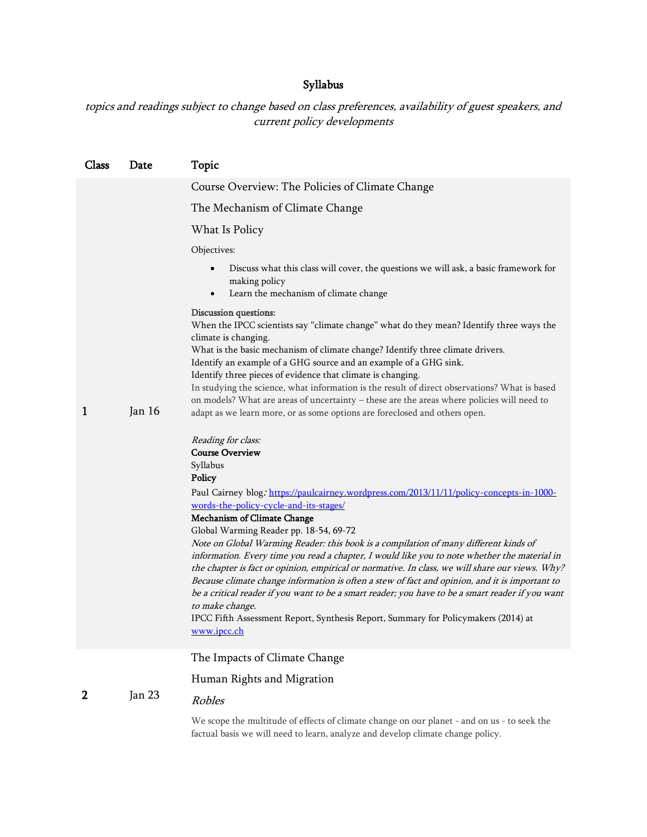# Syllabus

topics and readings subject to change based on class preferences, availability of guest speakers, and current policy developments

| Class       | Date   | Topic                                                                                                                                                                                                                                                                                                                                                                                                                                                                                                                                                                                                                                                                                                                                                                                                                                                                                                      |
|-------------|--------|------------------------------------------------------------------------------------------------------------------------------------------------------------------------------------------------------------------------------------------------------------------------------------------------------------------------------------------------------------------------------------------------------------------------------------------------------------------------------------------------------------------------------------------------------------------------------------------------------------------------------------------------------------------------------------------------------------------------------------------------------------------------------------------------------------------------------------------------------------------------------------------------------------|
|             | Jan 16 | Course Overview: The Policies of Climate Change                                                                                                                                                                                                                                                                                                                                                                                                                                                                                                                                                                                                                                                                                                                                                                                                                                                            |
|             |        | The Mechanism of Climate Change                                                                                                                                                                                                                                                                                                                                                                                                                                                                                                                                                                                                                                                                                                                                                                                                                                                                            |
|             |        | What Is Policy                                                                                                                                                                                                                                                                                                                                                                                                                                                                                                                                                                                                                                                                                                                                                                                                                                                                                             |
|             |        | Objectives:                                                                                                                                                                                                                                                                                                                                                                                                                                                                                                                                                                                                                                                                                                                                                                                                                                                                                                |
|             |        | Discuss what this class will cover, the questions we will ask, a basic framework for<br>$\bullet$<br>making policy<br>Learn the mechanism of climate change<br>$\bullet$                                                                                                                                                                                                                                                                                                                                                                                                                                                                                                                                                                                                                                                                                                                                   |
|             |        | Discussion questions:<br>When the IPCC scientists say "climate change" what do they mean? Identify three ways the<br>climate is changing.<br>What is the basic mechanism of climate change? Identify three climate drivers.<br>Identify an example of a GHG source and an example of a GHG sink.<br>Identify three pieces of evidence that climate is changing.<br>In studying the science, what information is the result of direct observations? What is based<br>on models? What are areas of uncertainty - these are the areas where policies will need to                                                                                                                                                                                                                                                                                                                                             |
| 1           |        | adapt as we learn more, or as some options are foreclosed and others open.                                                                                                                                                                                                                                                                                                                                                                                                                                                                                                                                                                                                                                                                                                                                                                                                                                 |
|             |        | Reading for class:<br><b>Course Overview</b><br>Syllabus<br>Policy<br>Paul Cairney blog: https://paulcairney.wordpress.com/2013/11/11/policy-concepts-in-1000-<br>words-the-policy-cycle-and-its-stages/<br>Mechanism of Climate Change<br>Global Warming Reader pp. 18-54, 69-72<br>Note on Global Warming Reader: this book is a compilation of many different kinds of<br>information. Every time you read a chapter, I would like you to note whether the material in<br>the chapter is fact or opinion, empirical or normative. In class, we will share our views. Why?<br>Because climate change information is often a stew of fact and opinion, and it is important to<br>be a critical reader if you want to be a smart reader; you have to be a smart reader if you want<br>to make change.<br>IPCC Fifth Assessment Report, Synthesis Report, Summary for Policymakers (2014) at<br>www.ipcc.ch |
| $\mathbf 2$ | Jan 23 | The Impacts of Climate Change                                                                                                                                                                                                                                                                                                                                                                                                                                                                                                                                                                                                                                                                                                                                                                                                                                                                              |
|             |        | Human Rights and Migration                                                                                                                                                                                                                                                                                                                                                                                                                                                                                                                                                                                                                                                                                                                                                                                                                                                                                 |
|             |        | Robles                                                                                                                                                                                                                                                                                                                                                                                                                                                                                                                                                                                                                                                                                                                                                                                                                                                                                                     |
|             |        | We scope the multitude of effects of climate change on our planet - and on us - to seek the<br>factual basis we will need to learn, analyze and develop climate change policy.                                                                                                                                                                                                                                                                                                                                                                                                                                                                                                                                                                                                                                                                                                                             |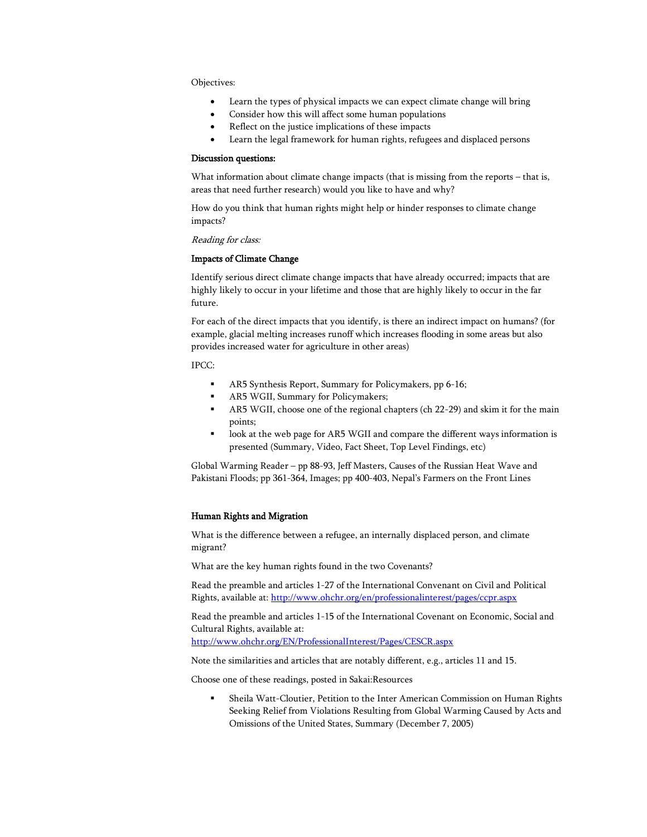### Objectives:

- Learn the types of physical impacts we can expect climate change will bring
- Consider how this will affect some human populations
- Reflect on the justice implications of these impacts
- Learn the legal framework for human rights, refugees and displaced persons

#### Discussion questions:

What information about climate change impacts (that is missing from the reports – that is, areas that need further research) would you like to have and why?

How do you think that human rights might help or hinder responses to climate change impacts?

#### Reading for class:

### Impacts of Climate Change

Identify serious direct climate change impacts that have already occurred; impacts that are highly likely to occur in your lifetime and those that are highly likely to occur in the far future.

For each of the direct impacts that you identify, is there an indirect impact on humans? (for example, glacial melting increases runoff which increases flooding in some areas but also provides increased water for agriculture in other areas)

IPCC:

- AR5 Synthesis Report, Summary for Policymakers, pp 6-16;
- AR5 WGII, Summary for Policymakers;
- AR5 WGII, choose one of the regional chapters (ch 22-29) and skim it for the main points;
- look at the web page for AR5 WGII and compare the different ways information is presented (Summary, Video, Fact Sheet, Top Level Findings, etc)

Global Warming Reader – pp 88-93, Jeff Masters, Causes of the Russian Heat Wave and Pakistani Floods; pp 361-364, Images; pp 400-403, Nepal's Farmers on the Front Lines

#### Human Rights and Migration

What is the difference between a refugee, an internally displaced person, and climate migrant?

What are the key human rights found in the two Covenants?

Read the preamble and articles 1-27 of the International Convenant on Civil and Political Rights, available at[: http://www.ohchr.org/en/professionalinterest/pages/ccpr.aspx](http://www.ohchr.org/en/professionalinterest/pages/ccpr.aspx)

Read the preamble and articles 1-15 of the International Covenant on Economic, Social and Cultural Rights, available at:

<http://www.ohchr.org/EN/ProfessionalInterest/Pages/CESCR.aspx>

Note the similarities and articles that are notably different, e.g., articles 11 and 15.

Choose one of these readings, posted in Sakai:Resources

Sheila Watt-Cloutier, Petition to the Inter American Commission on Human Rights Seeking Relief from Violations Resulting from Global Warming Caused by Acts and Omissions of the United States, Summary (December 7, 2005)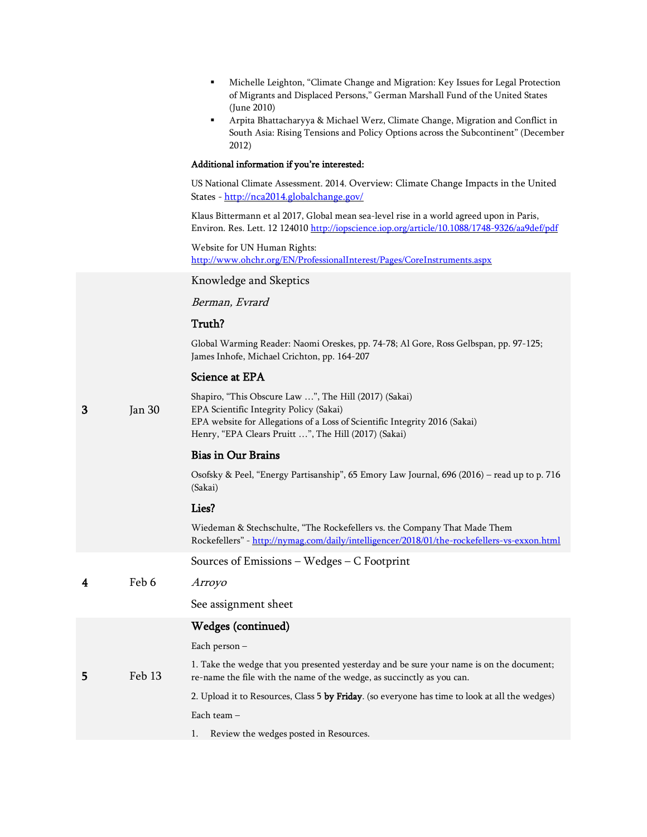- Michelle Leighton, "Climate Change and Migration: Key Issues for Legal Protection of Migrants and Displaced Persons," German Marshall Fund of the United States (June 2010)
- Arpita Bhattacharyya & Michael Werz, Climate Change, Migration and Conflict in South Asia: Rising Tensions and Policy Options across the Subcontinent" (December 2012)

### Additional information if you're interested:

US National Climate Assessment. 2014. Overview: Climate Change Impacts in the United States - <http://nca2014.globalchange.gov/>

Klaus Bittermann et al 2017, Global mean sea-level rise in a world agreed upon in Paris, Environ. Res. Lett. 12 124010 <http://iopscience.iop.org/article/10.1088/1748-9326/aa9def/pdf>

Website for UN Human Rights: <http://www.ohchr.org/EN/ProfessionalInterest/Pages/CoreInstruments.aspx>

Knowledge and Skeptics

Berman, Evrard

## Truth?

Global Warming Reader: Naomi Oreskes, pp. 74-78; Al Gore, Ross Gelbspan, pp. 97-125; James Inhofe, Michael Crichton, pp. 164-207

### Science at EPA

|        | Shapiro, "This Obscure Law ", The Hill (2017) (Sakai)                      |
|--------|----------------------------------------------------------------------------|
| Jan 30 | EPA Scientific Integrity Policy (Sakai)                                    |
|        | EPA website for Allegations of a Loss of Scientific Integrity 2016 (Sakai) |
|        | Henry, "EPA Clears Pruitt ", The Hill (2017) (Sakai)                       |

### Bias in Our Brains

Osofsky & Peel, "Energy Partisanship", 65 Emory Law Journal, 696 (2016) – read up to p. 716 (Sakai)

### Lies?

Wiedeman & Stechschulte, "The Rockefellers vs. the Company That Made Them Rockefellers" - <http://nymag.com/daily/intelligencer/2018/01/the-rockefellers-vs-exxon.html>

Sources of Emissions – Wedges – C Footprint

4 Feb 6 Arroyo

See assignment sheet

### Wedges (continued)

Each person –

5 Feb 13 1. Take the wedge that you presented yesterday and be sure your name is on the document; re-name the file with the name of the wedge, as succinctly as you can.

2. Upload it to Resources, Class 5 by Friday. (so everyone has time to look at all the wedges)

Each team –

1. Review the wedges posted in Resources.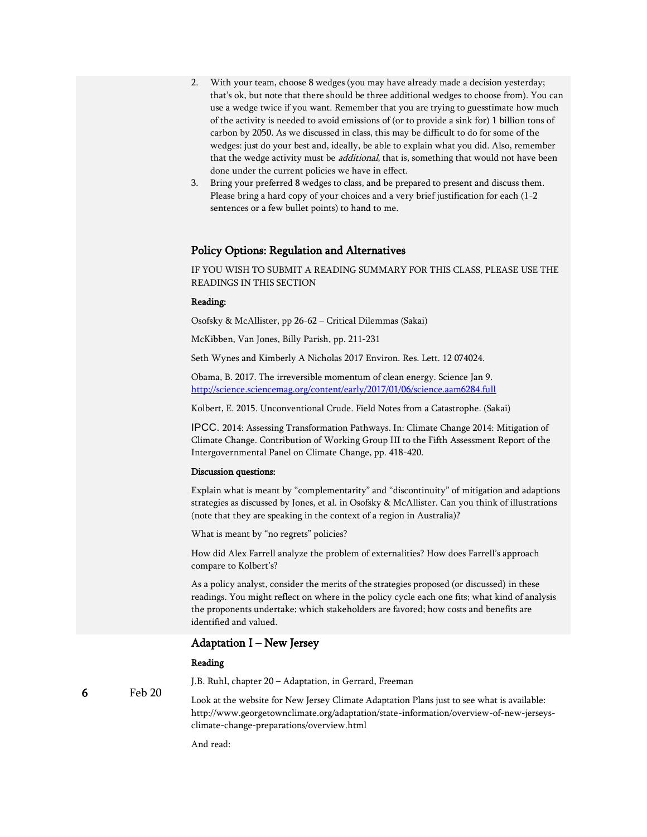- 2. With your team, choose 8 wedges (you may have already made a decision yesterday; that's ok, but note that there should be three additional wedges to choose from). You can use a wedge twice if you want. Remember that you are trying to guesstimate how much of the activity is needed to avoid emissions of (or to provide a sink for) 1 billion tons of carbon by 2050. As we discussed in class, this may be difficult to do for some of the wedges: just do your best and, ideally, be able to explain what you did. Also, remember that the wedge activity must be *additional*, that is, something that would not have been done under the current policies we have in effect.
- 3. Bring your preferred 8 wedges to class, and be prepared to present and discuss them. Please bring a hard copy of your choices and a very brief justification for each (1-2 sentences or a few bullet points) to hand to me.

### Policy Options: Regulation and Alternatives

IF YOU WISH TO SUBMIT A READING SUMMARY FOR THIS CLASS, PLEASE USE THE READINGS IN THIS SECTION

### Reading:

Osofsky & McAllister, pp 26-62 – Critical Dilemmas (Sakai)

McKibben, Van Jones, Billy Parish, pp. 211-231

Seth Wynes and Kimberly A Nicholas 2017 Environ. Res. Lett. 12 074024.

Obama, B. 2017. The irreversible momentum of clean energy. Science Jan 9. <http://science.sciencemag.org/content/early/2017/01/06/science.aam6284.full>

Kolbert, E. 2015. Unconventional Crude. Field Notes from a Catastrophe. (Sakai)

IPCC. 2014: Assessing Transformation Pathways. In: Climate Change 2014: Mitigation of Climate Change. Contribution of Working Group III to the Fifth Assessment Report of the Intergovernmental Panel on Climate Change, pp. 418-420.

### Discussion questions:

Explain what is meant by "complementarity" and "discontinuity" of mitigation and adaptions strategies as discussed by Jones, et al. in Osofsky & McAllister. Can you think of illustrations (note that they are speaking in the context of a region in Australia)?

What is meant by "no regrets" policies?

How did Alex Farrell analyze the problem of externalities? How does Farrell's approach compare to Kolbert's?

As a policy analyst, consider the merits of the strategies proposed (or discussed) in these readings. You might reflect on where in the policy cycle each one fits; what kind of analysis the proponents undertake; which stakeholders are favored; how costs and benefits are identified and valued.

### Adaptation I – New Jersey

### Reading

6 Feb 20

J.B. Ruhl, chapter 20 – Adaptation, in Gerrard, Freeman

Look at the website for New Jersey Climate Adaptation Plans just to see what is available: http://www.georgetownclimate.org/adaptation/state-information/overview-of-new-jerseysclimate-change-preparations/overview.html

And read: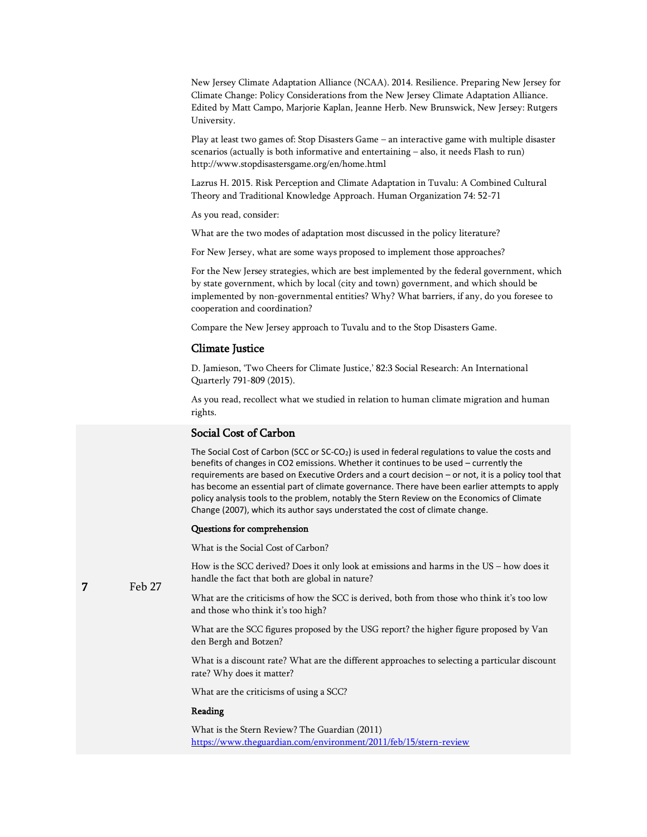New Jersey Climate Adaptation Alliance (NCAA). 2014. Resilience. Preparing New Jersey for Climate Change: Policy Considerations from the New Jersey Climate Adaptation Alliance. Edited by Matt Campo, Marjorie Kaplan, Jeanne Herb. New Brunswick, New Jersey: Rutgers University.

Play at least two games of: Stop Disasters Game – an interactive game with multiple disaster scenarios (actually is both informative and entertaining – also, it needs Flash to run) http://www.stopdisastersgame.org/en/home.html

Lazrus H. 2015. Risk Perception and Climate Adaptation in Tuvalu: A Combined Cultural Theory and Traditional Knowledge Approach. Human Organization 74: 52-71

As you read, consider:

What are the two modes of adaptation most discussed in the policy literature?

For New Jersey, what are some ways proposed to implement those approaches?

For the New Jersey strategies, which are best implemented by the federal government, which by state government, which by local (city and town) government, and which should be implemented by non-governmental entities? Why? What barriers, if any, do you foresee to cooperation and coordination?

Compare the New Jersey approach to Tuvalu and to the Stop Disasters Game.

### Climate Justice

D. Jamieson, 'Two Cheers for Climate Justice,' 82:3 Social Research: An International Quarterly 791-809 (2015).

As you read, recollect what we studied in relation to human climate migration and human rights.

### Social Cost of Carbon

The Social Cost of Carbon (SCC or SC-CO<sub>2</sub>) is used in federal regulations to value the costs and benefits of changes in CO2 emissions. Whether it continues to be used – currently the requirements are based on Executive Orders and a court decision – or not, it is a policy tool that has become an essential part of climate governance. There have been earlier attempts to apply policy analysis tools to the problem, notably the Stern Review on the Economics of Climate Change (2007), which its author says understated the cost of climate change.

### Questions for comprehension

What is the Social Cost of Carbon?

How is the SCC derived? Does it only look at emissions and harms in the US – how does it handle the fact that both are global in nature?

What are the criticisms of how the SCC is derived, both from those who think it's too low and those who think it's too high?

What are the SCC figures proposed by the USG report? the higher figure proposed by Van den Bergh and Botzen?

What is a discount rate? What are the different approaches to selecting a particular discount rate? Why does it matter?

What are the criticisms of using a SCC?

#### Reading

What is the Stern Review? The Guardian (2011) <https://www.theguardian.com/environment/2011/feb/15/stern-review>

7 Feb 27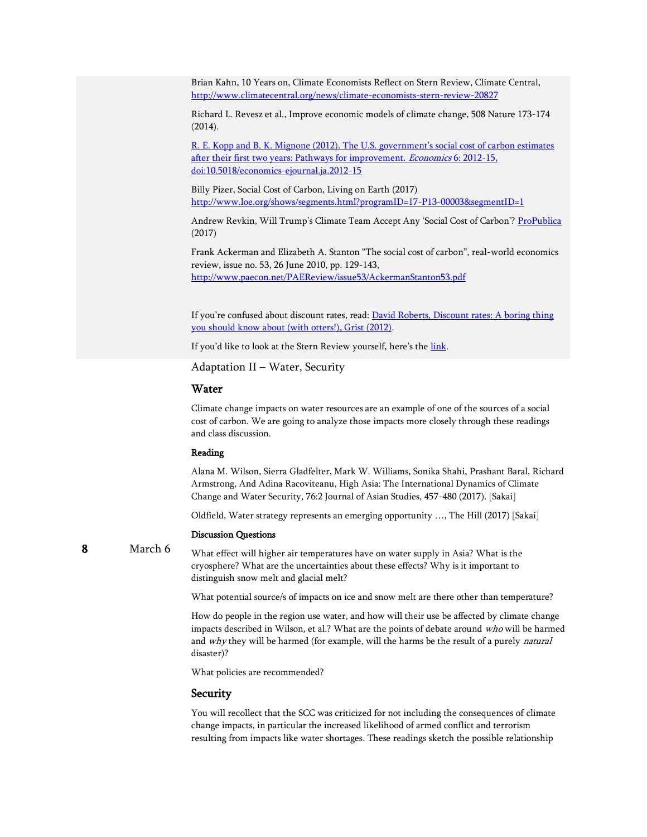Brian Kahn, 10 Years on, Climate Economists Reflect on Stern Review, Climate Central, <http://www.climatecentral.org/news/climate-economists-stern-review-20827>

Richard L. Revesz et al., Improve economic models of climate change, 508 Nature 173-174 (2014).

[R. E. Kopp and B. K. Mignone \(2012\). The U.S. government's social cost of carbon estimates](http://dx.doi.org/10.5018/economics-ejournal.ja.2012-15)  [after their first two years: Pathways for improvement.](http://dx.doi.org/10.5018/economics-ejournal.ja.2012-15) Economics 6: 2012-15, [doi:10.5018/economics-ejournal.ja.2012-15](http://dx.doi.org/10.5018/economics-ejournal.ja.2012-15)

Billy Pizer, Social Cost of Carbon, Living on Earth (2017) <http://www.loe.org/shows/segments.html?programID=17-P13-00003&segmentID=1>

Andrew Revkin, Will Trump's Climate Team Accept Any 'Social Cost of Carbon'? [ProPublica](https://www.propublica.org/article/will-trumps-climate-team-accept-any-social-cost-of-carbon) (2017)

Frank Ackerman and Elizabeth A. Stanton "The social cost of carbon", real-world economics review, issue no. 53, 26 June 2010, pp. 129-143, <http://www.paecon.net/PAEReview/issue53/AckermanStanton53.pdf>

If you're confused about discount rates, read: David Roberts, Discount rates: A boring thing [you should know about \(with otters!\), Grist \(2012\).](https://grist.org/article/discount-rates-a-boring-thing-you-should-know-about-with-otters/)

If you'd like to look at the Stern Review yourself, here's the [link.](http://webarchive.nationalarchives.gov.uk/20100407172811/http:/www.hm-treasury.gov.uk/stern_review_report.htm)

Adaptation II – Water, Security

### Water

Climate change impacts on water resources are an example of one of the sources of a social cost of carbon. We are going to analyze those impacts more closely through these readings and class discussion.

### Reading

Alana M. Wilson, Sierra Gladfelter, Mark W. Williams, Sonika Shahi, Prashant Baral, Richard Armstrong, And Adina Racoviteanu, High Asia: The International Dynamics of Climate Change and Water Security, 76:2 Journal of Asian Studies, 457-480 (2017). [Sakai]

Oldfield, Water strategy represents an emerging opportunity …, The Hill (2017) [Sakai]

#### Discussion Questions

8 March 6 What effect will higher air temperatures have on water supply in Asia? What is the cryosphere? What are the uncertainties about these effects? Why is it important to distinguish snow melt and glacial melt?

What potential source/s of impacts on ice and snow melt are there other than temperature?

How do people in the region use water, and how will their use be affected by climate change impacts described in Wilson, et al.? What are the points of debate around who will be harmed and why they will be harmed (for example, will the harms be the result of a purely natural disaster)?

What policies are recommended?

### **Security**

You will recollect that the SCC was criticized for not including the consequences of climate change impacts, in particular the increased likelihood of armed conflict and terrorism resulting from impacts like water shortages. These readings sketch the possible relationship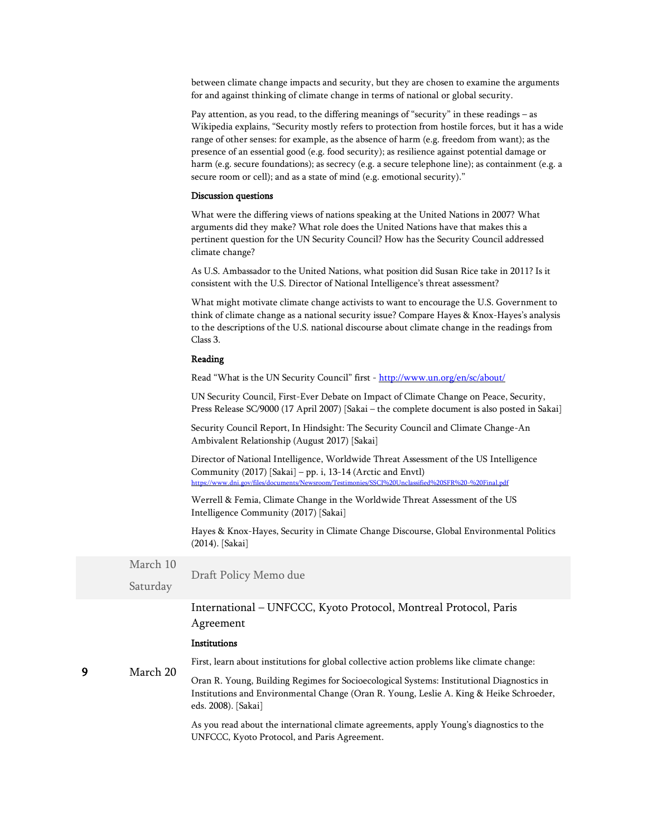between climate change impacts and security, but they are chosen to examine the arguments for and against thinking of climate change in terms of national or global security.

Pay attention, as you read, to the differing meanings of "security" in these readings  $-$  as Wikipedia explains, "Security mostly refers to protection from hostile forces, but it has a wide range of other senses: for example, as the absence of harm (e.g. freedom from want); as the presence of an essential good (e.g. food security); as resilience against potential damage or harm (e.g. secure foundations); as secrecy (e.g. a secure telephone line); as containment (e.g. a secure room or cell); and as a state of mind (e.g. emotional security)."

### Discussion questions

What were the differing views of nations speaking at the United Nations in 2007? What arguments did they make? What role does the United Nations have that makes this a pertinent question for the UN Security Council? How has the Security Council addressed climate change?

As U.S. Ambassador to the United Nations, what position did Susan Rice take in 2011? Is it consistent with the U.S. Director of National Intelligence's threat assessment?

What might motivate climate change activists to want to encourage the U.S. Government to think of climate change as a national security issue? Compare Hayes & Knox-Hayes's analysis to the descriptions of the U.S. national discourse about climate change in the readings from Class 3.

#### Reading

Read "What is the UN Security Council" first - <http://www.un.org/en/sc/about/>

UN Security Council, First-Ever Debate on Impact of Climate Change on Peace, Security, Press Release SC/9000 (17 April 2007) [Sakai – the complete document is also posted in Sakai]

Security Council Report, In Hindsight: The Security Council and Climate Change-An Ambivalent Relationship (August 2017) [Sakai]

Director of National Intelligence, Worldwide Threat Assessment of the US Intelligence Community (2017) [Sakai] – pp. i, 13-14 (Arctic and Envtl) ,<br>fied%20SFR%20-%20Final.pdf

Werrell & Femia, Climate Change in the Worldwide Threat Assessment of the US Intelligence Community (2017) [Sakai]

Hayes & Knox-Hayes, Security in Climate Change Discourse, Global Environmental Politics (2014). [Sakai]

### March 10

Saturday

Draft Policy Memo due

International – UNFCCC, Kyoto Protocol, Montreal Protocol, Paris Agreement

#### Institutions

9 March 20 First, learn about institutions for global collective action problems like climate change:

Oran R. Young, Building Regimes for Socioecological Systems: Institutional Diagnostics in Institutions and Environmental Change (Oran R. Young, Leslie A. King & Heike Schroeder, eds. 2008). [Sakai]

As you read about the international climate agreements, apply Young's diagnostics to the UNFCCC, Kyoto Protocol, and Paris Agreement.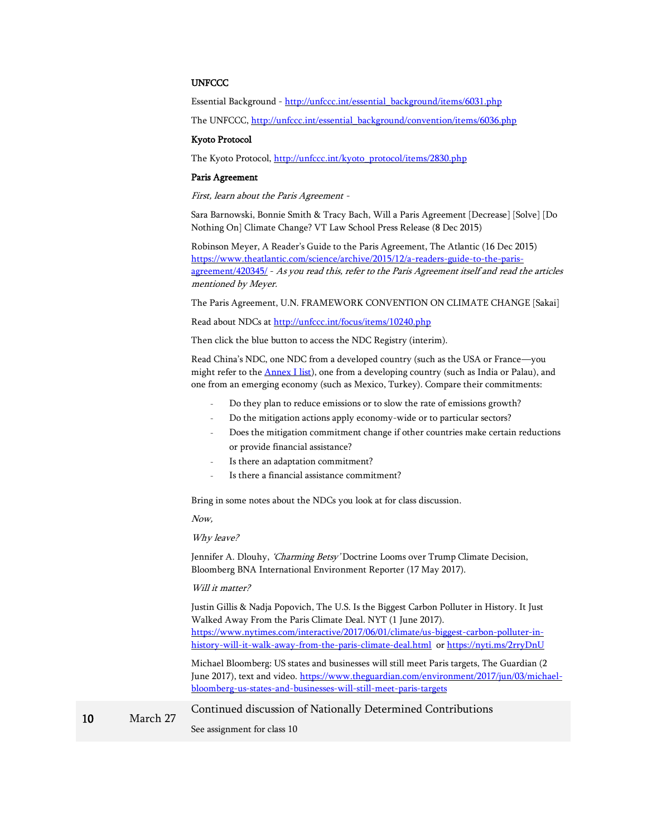### **UNFCCC**

Essential Background - [http://unfccc.int/essential\\_background/items/6031.php](http://unfccc.int/essential_background/items/6031.php)

The UNFCCC[, http://unfccc.int/essential\\_background/convention/items/6036.php](http://unfccc.int/essential_background/convention/items/6036.php)

### Kyoto Protocol

The Kyoto Protocol[, http://unfccc.int/kyoto\\_protocol/items/2830.php](http://unfccc.int/kyoto_protocol/items/2830.php)

#### Paris Agreement

First, learn about the Paris Agreement -

Sara Barnowski, Bonnie Smith & Tracy Bach, Will a Paris Agreement [Decrease] [Solve] [Do Nothing On] Climate Change? VT Law School Press Release (8 Dec 2015)

Robinson Meyer, A Reader's Guide to the Paris Agreement, The Atlantic (16 Dec 2015) [https://www.theatlantic.com/science/archive/2015/12/a-readers-guide-to-the-paris](https://www.theatlantic.com/science/archive/2015/12/a-readers-guide-to-the-paris-agreement/420345/)[agreement/420345/](https://www.theatlantic.com/science/archive/2015/12/a-readers-guide-to-the-paris-agreement/420345/) - As you read this, refer to the Paris Agreement itself and read the articles mentioned by Meyer.

The Paris Agreement, U.N. FRAMEWORK CONVENTION ON CLIMATE CHANGE [Sakai]

Read about NDCs at<http://unfccc.int/focus/items/10240.php>

Then click the blue button to access the NDC Registry (interim).

Read China's NDC, one NDC from a developed country (such as the USA or France—you might refer to the **Annex I list**), one from a developing country (such as India or Palau), and one from an emerging economy (such as Mexico, Turkey). Compare their commitments:

- Do they plan to reduce emissions or to slow the rate of emissions growth?
- Do the mitigation actions apply economy-wide or to particular sectors?
- Does the mitigation commitment change if other countries make certain reductions or provide financial assistance?
- Is there an adaptation commitment?
- Is there a financial assistance commitment?

Bring in some notes about the NDCs you look at for class discussion.

Now,

#### Why leave?

Jennifer A. Dlouhy, 'Charming Betsy' Doctrine Looms over Trump Climate Decision, Bloomberg BNA International Environment Reporter (17 May 2017).

#### Will it matter?

Justin Gillis & Nadja Popovich, The U.S. Is the Biggest Carbon Polluter in History. It Just Walked Away From the Paris Climate Deal. NYT (1 June 2017). [https://www.nytimes.com/interactive/2017/06/01/climate/us-biggest-carbon-polluter-in-](https://www.nytimes.com/interactive/2017/06/01/climate/us-biggest-carbon-polluter-in-history-will-it-walk-away-from-the-paris-climate-deal.html)

[history-will-it-walk-away-from-the-paris-climate-deal.html](https://www.nytimes.com/interactive/2017/06/01/climate/us-biggest-carbon-polluter-in-history-will-it-walk-away-from-the-paris-climate-deal.html) or<https://nyti.ms/2rryDnU>

Michael Bloomberg: US states and businesses will still meet Paris targets, The Guardian (2 June 2017), text and video[. https://www.theguardian.com/environment/2017/jun/03/michael](https://www.theguardian.com/environment/2017/jun/03/michael-bloomberg-us-states-and-businesses-will-still-meet-paris-targets)[bloomberg-us-states-and-businesses-will-still-meet-paris-targets](https://www.theguardian.com/environment/2017/jun/03/michael-bloomberg-us-states-and-businesses-will-still-meet-paris-targets)

Continued discussion of Nationally Determined Contributions

See assignment for class 10

10 March 27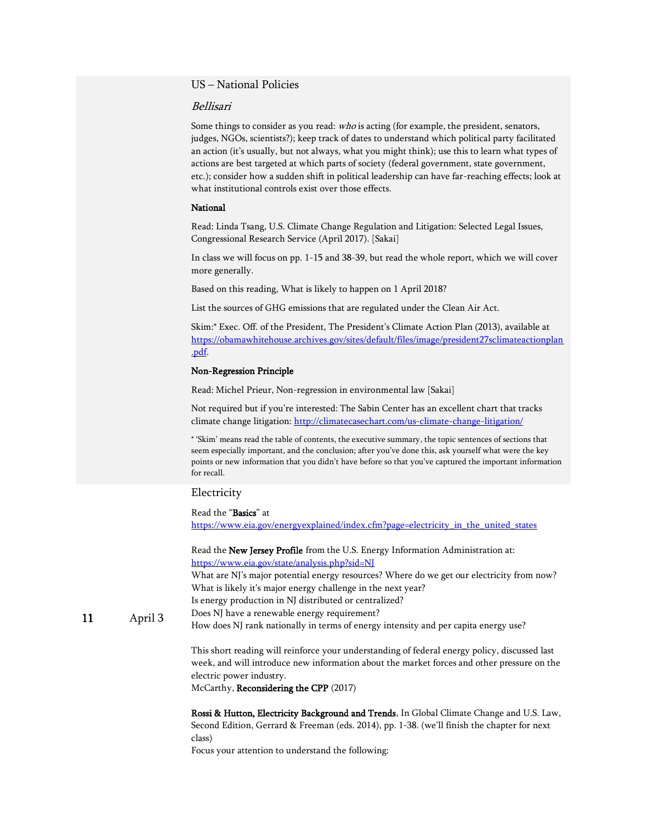### US – National Policies

### Bellisari

Some things to consider as you read: who is acting (for example, the president, senators, judges, NGOs, scientists?); keep track of dates to understand which political party facilitated an action (it's usually, but not always, what you might think); use this to learn what types of actions are best targeted at which parts of society (federal government, state government, etc.); consider how a sudden shift in political leadership can have far-reaching effects; look at what institutional controls exist over those effects.

#### National

Read: Linda Tsang, U.S. Climate Change Regulation and Litigation: Selected Legal Issues, Congressional Research Service (April 2017). [Sakai]

In class we will focus on pp. 1-15 and 38-39, but read the whole report, which we will cover more generally.

Based on this reading, What is likely to happen on 1 April 2018?

List the sources of GHG emissions that are regulated under the Clean Air Act.

Skim:\* Exec. Off. of the President, The President's Climate Action Plan (2013), available at [https://obamawhitehouse.archives.gov/sites/default/files/image/president27sclimateactionplan](https://obamawhitehouse.archives.gov/sites/default/files/image/president27sclimateactionplan.pdf) [.pdf.](https://obamawhitehouse.archives.gov/sites/default/files/image/president27sclimateactionplan.pdf) 

### Non-Regression Principle

Read: Michel Prieur, Non-regression in environmental law [Sakai]

Not required but if you're interested: The Sabin Center has an excellent chart that tracks climate change litigation[: http://climatecasechart.com/us-climate-change-litigation/](http://climatecasechart.com/us-climate-change-litigation/)

\* 'Skim' means read the table of contents, the executive summary, the topic sentences of sections that seem especially important, and the conclusion; after you've done this, ask yourself what were the key points or new information that you didn't have before so that you've captured the important information for recall.

### Electricity

Read the "Basics" at

[https://www.eia.gov/energyexplained/index.cfm?page=electricity\\_in\\_the\\_united\\_states](https://www.eia.gov/energyexplained/index.cfm?page=electricity_in_the_united_states)

Read the New Jersey Profile from the U.S. Energy Information Administration at: <https://www.eia.gov/state/analysis.php?sid=NJ>

What are NJ's major potential energy resources? Where do we get our electricity from now? What is likely it's major energy challenge in the next year? Is energy production in NJ distributed or centralized?

11 April 3 Does NJ have a renewable energy requirement? How does NJ rank nationally in terms of energy intensity and per capita energy use?

> This short reading will reinforce your understanding of federal energy policy, discussed last week, and will introduce new information about the market forces and other pressure on the electric power industry.

McCarthy, Reconsidering the CPP (2017)

Rossi & Hutton, Electricity Background and Trends, In Global Climate Change and U.S. Law, Second Edition, Gerrard & Freeman (eds. 2014), pp. 1-38. (we'll finish the chapter for next class)

Focus your attention to understand the following: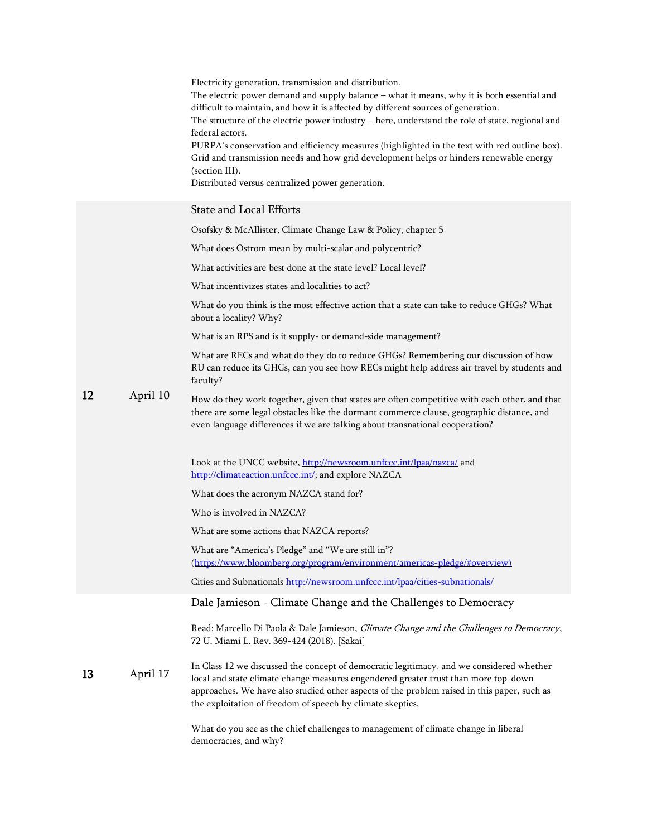|    |          | Electricity generation, transmission and distribution.<br>The electric power demand and supply balance - what it means, why it is both essential and<br>difficult to maintain, and how it is affected by different sources of generation.<br>The structure of the electric power industry $-$ here, understand the role of state, regional and<br>federal actors.<br>PURPA's conservation and efficiency measures (highlighted in the text with red outline box).<br>Grid and transmission needs and how grid development helps or hinders renewable energy<br>(section III).<br>Distributed versus centralized power generation. |
|----|----------|-----------------------------------------------------------------------------------------------------------------------------------------------------------------------------------------------------------------------------------------------------------------------------------------------------------------------------------------------------------------------------------------------------------------------------------------------------------------------------------------------------------------------------------------------------------------------------------------------------------------------------------|
|    |          | State and Local Efforts                                                                                                                                                                                                                                                                                                                                                                                                                                                                                                                                                                                                           |
|    |          | Osofsky & McAllister, Climate Change Law & Policy, chapter 5                                                                                                                                                                                                                                                                                                                                                                                                                                                                                                                                                                      |
|    |          | What does Ostrom mean by multi-scalar and polycentric?                                                                                                                                                                                                                                                                                                                                                                                                                                                                                                                                                                            |
|    |          | What activities are best done at the state level? Local level?                                                                                                                                                                                                                                                                                                                                                                                                                                                                                                                                                                    |
|    |          | What incentivizes states and localities to act?                                                                                                                                                                                                                                                                                                                                                                                                                                                                                                                                                                                   |
|    | April 10 | What do you think is the most effective action that a state can take to reduce GHGs? What<br>about a locality? Why?                                                                                                                                                                                                                                                                                                                                                                                                                                                                                                               |
|    |          | What is an RPS and is it supply- or demand-side management?                                                                                                                                                                                                                                                                                                                                                                                                                                                                                                                                                                       |
|    |          | What are RECs and what do they do to reduce GHGs? Remembering our discussion of how<br>RU can reduce its GHGs, can you see how RECs might help address air travel by students and<br>faculty?                                                                                                                                                                                                                                                                                                                                                                                                                                     |
| 12 |          | How do they work together, given that states are often competitive with each other, and that<br>there are some legal obstacles like the dormant commerce clause, geographic distance, and<br>even language differences if we are talking about transnational cooperation?                                                                                                                                                                                                                                                                                                                                                         |
|    |          | Look at the UNCC website, http://newsroom.unfccc.int/lpaa/nazca/ and<br>http://climateaction.unfccc.int/; and explore NAZCA                                                                                                                                                                                                                                                                                                                                                                                                                                                                                                       |
|    |          | What does the acronym NAZCA stand for?                                                                                                                                                                                                                                                                                                                                                                                                                                                                                                                                                                                            |
|    |          | Who is involved in NAZCA?                                                                                                                                                                                                                                                                                                                                                                                                                                                                                                                                                                                                         |
|    |          | What are some actions that NAZCA reports?                                                                                                                                                                                                                                                                                                                                                                                                                                                                                                                                                                                         |
|    |          | What are "America's Pledge" and "We are still in"?<br>(https://www.bloomberg.org/program/environment/americas-pledge/#overview)                                                                                                                                                                                                                                                                                                                                                                                                                                                                                                   |
|    |          | Cities and Subnationals http://newsroom.unfccc.int/lpaa/cities-subnationals/                                                                                                                                                                                                                                                                                                                                                                                                                                                                                                                                                      |
|    |          | Dale Jamieson - Climate Change and the Challenges to Democracy                                                                                                                                                                                                                                                                                                                                                                                                                                                                                                                                                                    |
| 13 |          | Read: Marcello Di Paola & Dale Jamieson, Climate Change and the Challenges to Democracy,<br>72 U. Miami L. Rev. 369-424 (2018). [Sakai]                                                                                                                                                                                                                                                                                                                                                                                                                                                                                           |
|    | April 17 | In Class 12 we discussed the concept of democratic legitimacy, and we considered whether<br>local and state climate change measures engendered greater trust than more top-down<br>approaches. We have also studied other aspects of the problem raised in this paper, such as<br>the exploitation of freedom of speech by climate skeptics.                                                                                                                                                                                                                                                                                      |
|    |          | What do you see as the chief challenges to management of climate change in liberal                                                                                                                                                                                                                                                                                                                                                                                                                                                                                                                                                |

democracies, and why?